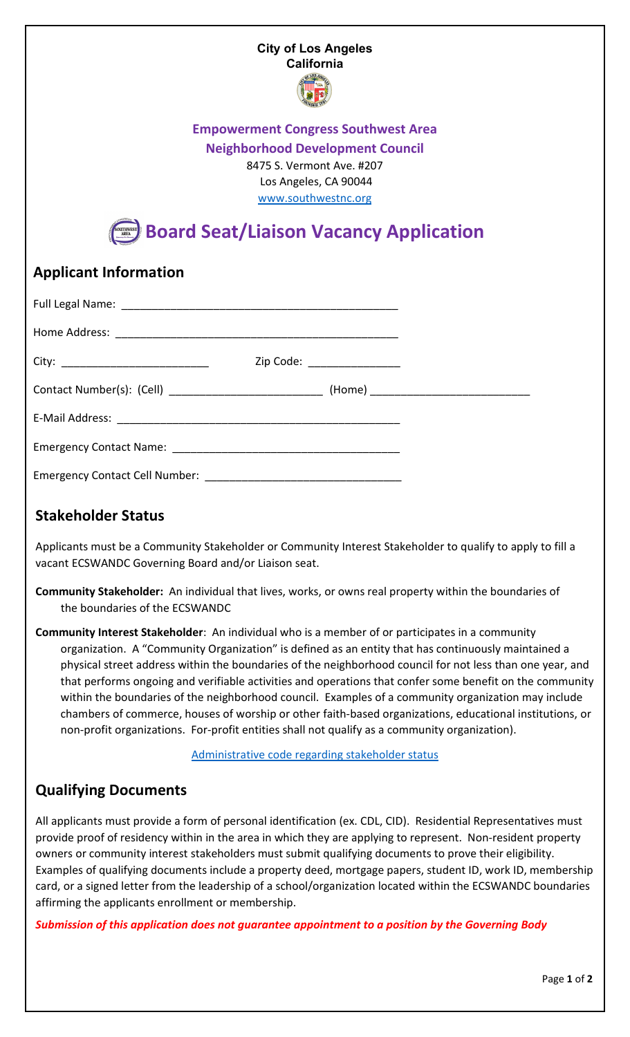#### **City of Los Angeles California**



## **Empowerment Congress Southwest Area**

**Neighborhood Development Council**

8475 S. Vermont Ave. #207 Los Angeles, CA 90044

www.southwestnc.org

# **Board Seat/Liaison Vacancy Application**

## **Applicant Information**

|  | Zip Code: __________________ |
|--|------------------------------|
|  |                              |
|  |                              |
|  |                              |
|  |                              |

## **Stakeholder Status**

Applicants must be a Community Stakeholder or Community Interest Stakeholder to qualify to apply to fill a vacant ECSWANDC Governing Board and/or Liaison seat.

**Community Stakeholder:** An individual that lives, works, or owns real property within the boundaries of the boundaries of the ECSWANDC

**Community Interest Stakeholder**: An individual who is a member of or participates in a community organization. A "Community Organization" is defined as an entity that has continuously maintained a physical street address within the boundaries of the neighborhood council for not less than one year, and that performs ongoing and verifiable activities and operations that confer some benefit on the community within the boundaries of the neighborhood council. Examples of a community organization may include chambers of commerce, houses of worship or other faith-based organizations, educational institutions, or non-profit organizations. For-profit entities shall not qualify as a community organization).

[Administrative code regarding stakeholder status](https://codelibrary.amlegal.com/codes/los_angeles/latest/laac/0-0-0-67344%23JD_22.801.1.)

## **Qualifying Documents**

All applicants must provide a form of personal identification (ex. CDL, CID). Residential Representatives must provide proof of residency within in the area in which they are applying to represent. Non-resident property owners or community interest stakeholders must submit qualifying documents to prove their eligibility. Examples of qualifying documents include a property deed, mortgage papers, student ID, work ID, membership card, or a signed letter from the leadership of a school/organization located within the ECSWANDC boundaries affirming the applicants enrollment or membership.

*Submission of this application does not guarantee appointment to a position by the Governing Body*